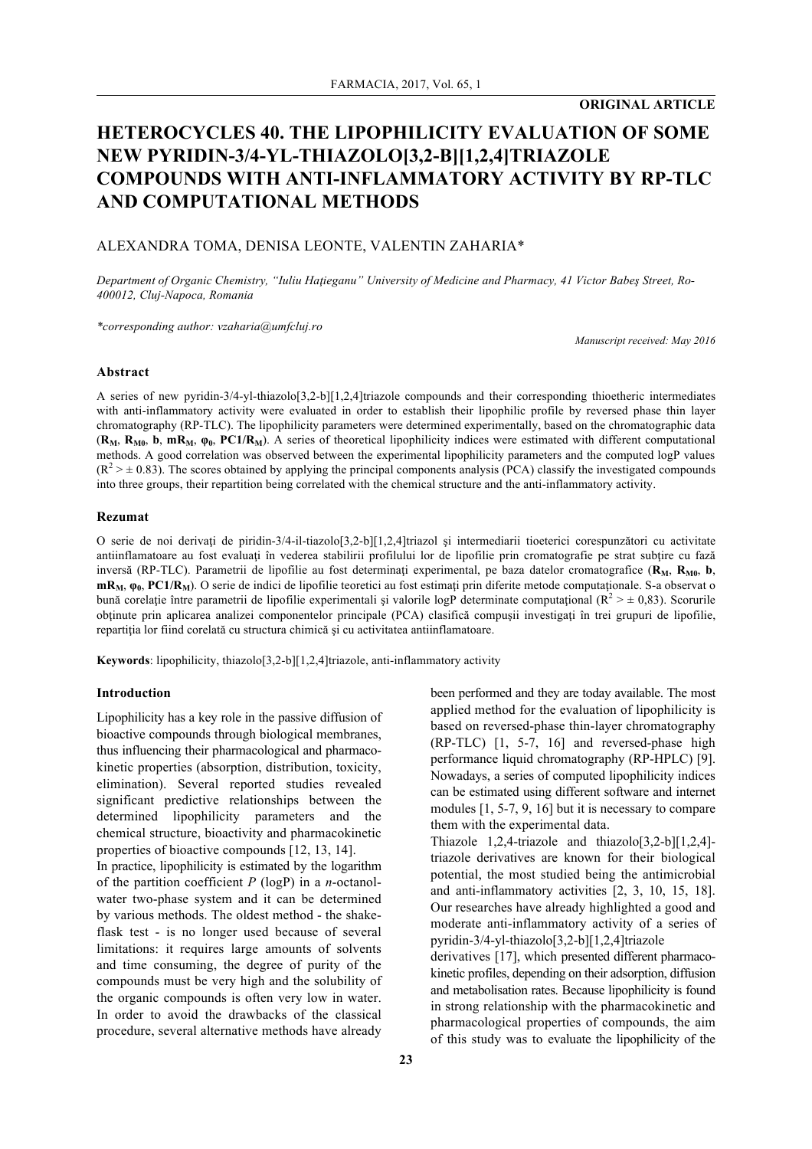**ORIGINAL ARTICLE**

# **HETEROCYCLES 40. THE LIPOPHILICITY EVALUATION OF SOME NEW PYRIDIN-3/4-YL-THIAZOLO[3,2-B][1,2,4]TRIAZOLE COMPOUNDS WITH ANTI-INFLAMMATORY ACTIVITY BY RP-TLC AND COMPUTATIONAL METHODS**

# ALEXANDRA TOMA, DENISA LEONTE, VALENTIN ZAHARIA\*

*Department of Organic Chemistry, "Iuliu Haţieganu" University of Medicine and Pharmacy, 41 Victor Babeş Street, Ro-400012, Cluj-Napoca, Romania*

*\*corresponding author: vzaharia@umfcluj.ro*

*Manuscript received: May 2016*

### **Abstract**

A series of new pyridin-3/4-yl-thiazolo[3,2-b][1,2,4]triazole compounds and their corresponding thioetheric intermediates with anti-inflammatory activity were evaluated in order to establish their lipophilic profile by reversed phase thin layer chromatography (RP-TLC). The lipophilicity parameters were determined experimentally, based on the chromatographic data (**RM**, **RM0**, **b**, **mRM**, **φ0**, **PC1/RM**). A series of theoretical lipophilicity indices were estimated with different computational methods. A good correlation was observed between the experimental lipophilicity parameters and the computed logP values  $(R^2 \geq \pm 0.83)$ . The scores obtained by applying the principal components analysis (PCA) classify the investigated compounds into three groups, their repartition being correlated with the chemical structure and the anti-inflammatory activity.

### **Rezumat**

O serie de noi derivați de piridin-3/4-il-tiazolo[3,2-b][1,2,4]triazol și intermediarii tioeterici corespunzători cu activitate antiinflamatoare au fost evaluați în vederea stabilirii profilului lor de lipofilie prin cromatografie pe strat subțire cu fază inversă (RP-TLC). Parametrii de lipofilie au fost determinați experimental, pe baza datelor cromatografice (R<sub>M</sub>, R<sub>M0</sub>, b, **mR<sub>M</sub>**,  $φ_0$ , **PC1/R<sub>M</sub>**). O serie de indici de lipofilie teoretici au fost estimați prin diferite metode computaționale. S-a observat o bună corelație între parametrii de lipofilie experimentali și valorile logP determinate computațional ( $R^2 > \pm 0.83$ ). Scorurile obținute prin aplicarea analizei componentelor principale (PCA) clasifică compușii investigați în trei grupuri de lipofilie, repartiția lor fiind corelată cu structura chimică și cu activitatea antiinflamatoare.

**Keywords**: lipophilicity, thiazolo[3,2-b][1,2,4]triazole, anti-inflammatory activity

### **Introduction**

Lipophilicity has a key role in the passive diffusion of bioactive compounds through biological membranes, thus influencing their pharmacological and pharmacokinetic properties (absorption, distribution, toxicity, elimination). Several reported studies revealed significant predictive relationships between the determined lipophilicity parameters and the chemical structure, bioactivity and pharmacokinetic properties of bioactive compounds [12, 13, 14]. In practice, lipophilicity is estimated by the logarithm

of the partition coefficient *P* (logP) in a *n*-octanolwater two-phase system and it can be determined by various methods. The oldest method - the shakeflask test - is no longer used because of several limitations: it requires large amounts of solvents and time consuming, the degree of purity of the compounds must be very high and the solubility of the organic compounds is often very low in water. In order to avoid the drawbacks of the classical procedure, several alternative methods have already been performed and they are today available. The most applied method for the evaluation of lipophilicity is based on reversed-phase thin-layer chromatography (RP-TLC) [1, 5-7, 16] and reversed-phase high performance liquid chromatography (RP-HPLC) [9]. Nowadays, a series of computed lipophilicity indices can be estimated using different software and internet modules [1, 5-7, 9, 16] but it is necessary to compare them with the experimental data.

Thiazole 1,2,4-triazole and thiazolo[3,2-b][1,2,4] triazole derivatives are known for their biological potential, the most studied being the antimicrobial and anti-inflammatory activities [2, 3, 10, 15, 18]. Our researches have already highlighted a good and moderate anti-inflammatory activity of a series of pyridin-3/4-yl-thiazolo[3,2-b][1,2,4]triazole derivatives [17], which presented different pharmacokinetic profiles, depending on their adsorption, diffusion and metabolisation rates. Because lipophilicity is found in strong relationship with the pharmacokinetic and pharmacological properties of compounds, the aim

of this study was to evaluate the lipophilicity of the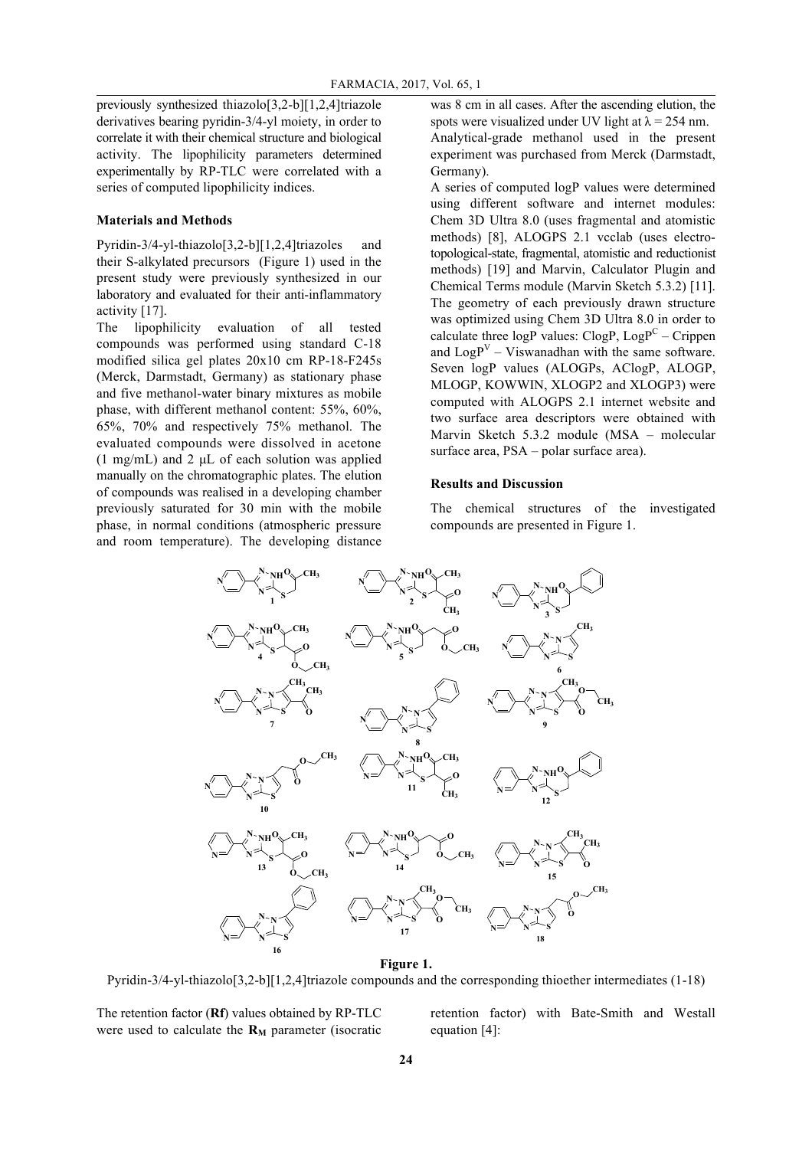previously synthesized thiazolo[3,2-b][1,2,4]triazole derivatives bearing pyridin-3/4-yl moiety, in order to correlate it with their chemical structure and biological activity. The lipophilicity parameters determined experimentally by RP-TLC were correlated with a series of computed lipophilicity indices.

### **Materials and Methods**

Pyridin-3/4-yl-thiazolo[3,2-b][1,2,4]triazoles and their S-alkylated precursors (Figure 1) used in the present study were previously synthesized in our laboratory and evaluated for their anti-inflammatory activity [17].

The lipophilicity evaluation of all tested compounds was performed using standard C-18 modified silica gel plates 20x10 cm RP-18-F245s (Merck, Darmstadt, Germany) as stationary phase and five methanol-water binary mixtures as mobile phase, with different methanol content: 55%, 60%, 65%, 70% and respectively 75% methanol. The evaluated compounds were dissolved in acetone  $(1 \text{ mg/mL})$  and 2  $\mu$ L of each solution was applied manually on the chromatographic plates. The elution of compounds was realised in a developing chamber previously saturated for 30 min with the mobile phase, in normal conditions (atmospheric pressure and room temperature). The developing distance

was 8 cm in all cases. After the ascending elution, the spots were visualized under UV light at  $\lambda$  = 254 nm. Analytical-grade methanol used in the present experiment was purchased from Merck (Darmstadt, Germany).

A series of computed logP values were determined using different software and internet modules: Chem 3D Ultra 8.0 (uses fragmental and atomistic methods) [8], ALOGPS 2.1 vcclab (uses electrotopological-state, fragmental, atomistic and reductionist methods) [19] and Marvin, Calculator Plugin and Chemical Terms module (Marvin Sketch 5.3.2) [11]. The geometry of each previously drawn structure was optimized using Chem 3D Ultra 8.0 in order to calculate three  $logP$  values:  $ClogP$ ,  $LogP<sup>C</sup> - Crippen$ and  $\text{LogP}^V$  – Viswanadhan with the same software. Seven logP values (ALOGPs, AClogP, ALOGP, MLOGP, KOWWIN, XLOGP2 and XLOGP3) were computed with ALOGPS 2.1 internet website and two surface area descriptors were obtained with Marvin Sketch 5.3.2 module (MSA – molecular surface area, PSA – polar surface area).

# **Results and Discussion**

The chemical structures of the investigated compounds are presented in Figure 1.



**Figure 1.**

Pyridin-3/4-yl-thiazolo[3,2-b][1,2,4]triazole compounds and the corresponding thioether intermediates (1-18)

The retention factor (**Rf**) values obtained by RP-TLC were used to calculate the  $\mathbf{R}_{\mathbf{M}}$  parameter (isocratic

retention factor) with Bate-Smith and Westall equation [4]: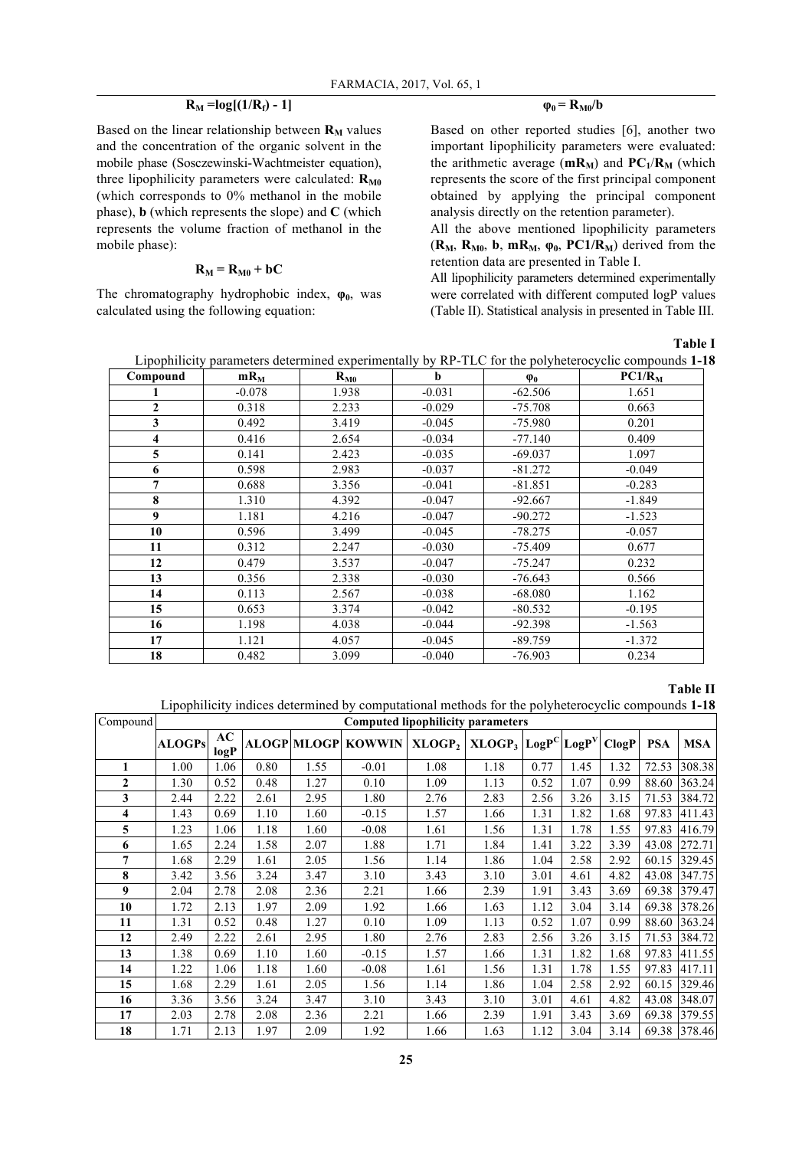# $R_M = log[(1/R_f) - 1]$

Based on the linear relationship between  $\mathbf{R}_{\mathbf{M}}$  values and the concentration of the organic solvent in the mobile phase (Sosczewinski-Wachtmeister equation), three lipophilicity parameters were calculated:  $\mathbf{R}_{\text{M0}}$ (which corresponds to 0% methanol in the mobile phase), **b** (which represents the slope) and **C** (which represents the volume fraction of methanol in the mobile phase):

## $R_M = R_{M0} + bC$

The chromatography hydrophobic index,  $\varphi_0$ , was calculated using the following equation:

### $\varphi_0 = R_{M0}/b$

Based on other reported studies [6], another two important lipophilicity parameters were evaluated: the arithmetic average  $(mR_M)$  and  $PC_1/R_M$  (which represents the score of the first principal component obtained by applying the principal component analysis directly on the retention parameter).

All the above mentioned lipophilicity parameters  $(R_M, R_{M0}, b, mR_M, \varphi_0, PC1/R_M)$  derived from the retention data are presented in Table I.

All lipophilicity parameters determined experimentally were correlated with different computed logP values (Table II). Statistical analysis in presented in Table III.

**Table I**

| Lipophilicity parameters determined experimentally by RP-TLC for the polyheterocyclic compounds 1-18 |  |  |  |
|------------------------------------------------------------------------------------------------------|--|--|--|
|                                                                                                      |  |  |  |

| Compound                | $mR_M$   | $R_{M0}$ | b        | $\varphi_0$ | PC1/R <sub>M</sub> |
|-------------------------|----------|----------|----------|-------------|--------------------|
|                         | $-0.078$ | 1.938    | $-0.031$ | $-62.506$   | 1.651              |
| $\overline{2}$          | 0.318    | 2.233    | $-0.029$ | $-75.708$   | 0.663              |
| 3                       | 0.492    | 3.419    | $-0.045$ | $-75.980$   | 0.201              |
| $\overline{\mathbf{4}}$ | 0.416    | 2.654    | $-0.034$ | $-77.140$   | 0.409              |
| 5                       | 0.141    | 2.423    | $-0.035$ | $-69.037$   | 1.097              |
| 6                       | 0.598    | 2.983    | $-0.037$ | $-81.272$   | $-0.049$           |
| $\overline{7}$          | 0.688    | 3.356    | $-0.041$ | $-81.851$   | $-0.283$           |
| 8                       | 1.310    | 4.392    | $-0.047$ | $-92.667$   | $-1.849$           |
| 9                       | 1.181    | 4.216    | $-0.047$ | $-90.272$   | $-1.523$           |
| 10                      | 0.596    | 3.499    | $-0.045$ | $-78.275$   | $-0.057$           |
| 11                      | 0.312    | 2.247    | $-0.030$ | $-75.409$   | 0.677              |
| 12                      | 0.479    | 3.537    | $-0.047$ | $-75.247$   | 0.232              |
| 13                      | 0.356    | 2.338    | $-0.030$ | $-76.643$   | 0.566              |
| 14                      | 0.113    | 2.567    | $-0.038$ | $-68.080$   | 1.162              |
| 15                      | 0.653    | 3.374    | $-0.042$ | $-80.532$   | $-0.195$           |
| 16                      | 1.198    | 4.038    | $-0.044$ | $-92.398$   | $-1.563$           |
| 17                      | 1.121    | 4.057    | $-0.045$ | $-89.759$   | $-1.372$           |
| 18                      | 0.482    | 3.099    | $-0.040$ | $-76.903$   | 0.234              |

### **Table II**

Lipophilicity indices determined by computational methods for the polyheterocyclic compounds **1-18**

| Compound     | <b>Computed lipophilicity parameters</b> |            |      |      |                           |                    |                                               |      |      |       |            |            |
|--------------|------------------------------------------|------------|------|------|---------------------------|--------------------|-----------------------------------------------|------|------|-------|------------|------------|
|              | <b>ALOGPs</b>                            | AC<br>logP |      |      | <b>ALOGP MLOGP KOWWIN</b> | XLOGP <sub>2</sub> | $XLOGP_3$ LogP <sup>C</sup> LogP <sup>V</sup> |      |      | ClogP | <b>PSA</b> | <b>MSA</b> |
| 1            | 1.00                                     | 1.06       | 0.80 | 1.55 | $-0.01$                   | 1.08               | 1.18                                          | 0.77 | 1.45 | 1.32  | 72.53      | 308.38     |
| $\mathbf{2}$ | 1.30                                     | 0.52       | 0.48 | 1.27 | 0.10                      | 1.09               | 1.13                                          | 0.52 | 1.07 | 0.99  | 88.60      | 363.24     |
| 3            | 2.44                                     | 2.22       | 2.61 | 2.95 | 1.80                      | 2.76               | 2.83                                          | 2.56 | 3.26 | 3.15  | 71.53      | 384.72     |
| 4            | 1.43                                     | 0.69       | 1.10 | 1.60 | $-0.15$                   | 1.57               | 1.66                                          | 1.31 | 1.82 | 1.68  | 97.83      | 411.43     |
| 5            | 1.23                                     | 1.06       | 1.18 | 1.60 | $-0.08$                   | 1.61               | 1.56                                          | 1.31 | 1.78 | 1.55  | 97.83      | 416.79     |
| 6            | 1.65                                     | 2.24       | 1.58 | 2.07 | 1.88                      | 1.71               | 1.84                                          | 1.41 | 3.22 | 3.39  | 43.08      | 272.71     |
| 7            | 1.68                                     | 2.29       | 1.61 | 2.05 | 1.56                      | 1.14               | 1.86                                          | 1.04 | 2.58 | 2.92  | 60.15      | 329.45     |
| 8            | 3.42                                     | 3.56       | 3.24 | 3.47 | 3.10                      | 3.43               | 3.10                                          | 3.01 | 4.61 | 4.82  | 43.08      | 347.75     |
| 9            | 2.04                                     | 2.78       | 2.08 | 2.36 | 2.21                      | 1.66               | 2.39                                          | 1.91 | 3.43 | 3.69  | 69.38      | 379.47     |
| 10           | 1.72                                     | 2.13       | 1.97 | 2.09 | 1.92                      | 1.66               | 1.63                                          | 1.12 | 3.04 | 3.14  | 69.38      | 378.26     |
| 11           | 1.31                                     | 0.52       | 0.48 | 1.27 | 0.10                      | 1.09               | 1.13                                          | 0.52 | 1.07 | 0.99  | 88.60      | 363.24     |
| 12           | 2.49                                     | 2.22       | 2.61 | 2.95 | 1.80                      | 2.76               | 2.83                                          | 2.56 | 3.26 | 3.15  | 71.53      | 384.72     |
| 13           | 1.38                                     | 0.69       | 1.10 | 1.60 | $-0.15$                   | 1.57               | 1.66                                          | 1.31 | 1.82 | 1.68  | 97.83      | 411.55     |
| 14           | 1.22                                     | 1.06       | 1.18 | 1.60 | $-0.08$                   | 1.61               | 1.56                                          | 1.31 | 1.78 | 1.55  | 97.83      | 417.11     |
| 15           | 1.68                                     | 2.29       | 1.61 | 2.05 | 1.56                      | 1.14               | 1.86                                          | 1.04 | 2.58 | 2.92  | 60.15      | 329.46     |
| 16           | 3.36                                     | 3.56       | 3.24 | 3.47 | 3.10                      | 3.43               | 3.10                                          | 3.01 | 4.61 | 4.82  | 43.08      | 348.07     |
| 17           | 2.03                                     | 2.78       | 2.08 | 2.36 | 2.21                      | 1.66               | 2.39                                          | 1.91 | 3.43 | 3.69  | 69.38      | 379.55     |
| 18           | 1.71                                     | 2.13       | 1.97 | 2.09 | 1.92                      | 1.66               | 1.63                                          | 1.12 | 3.04 | 3.14  | 69.38      | 378.46     |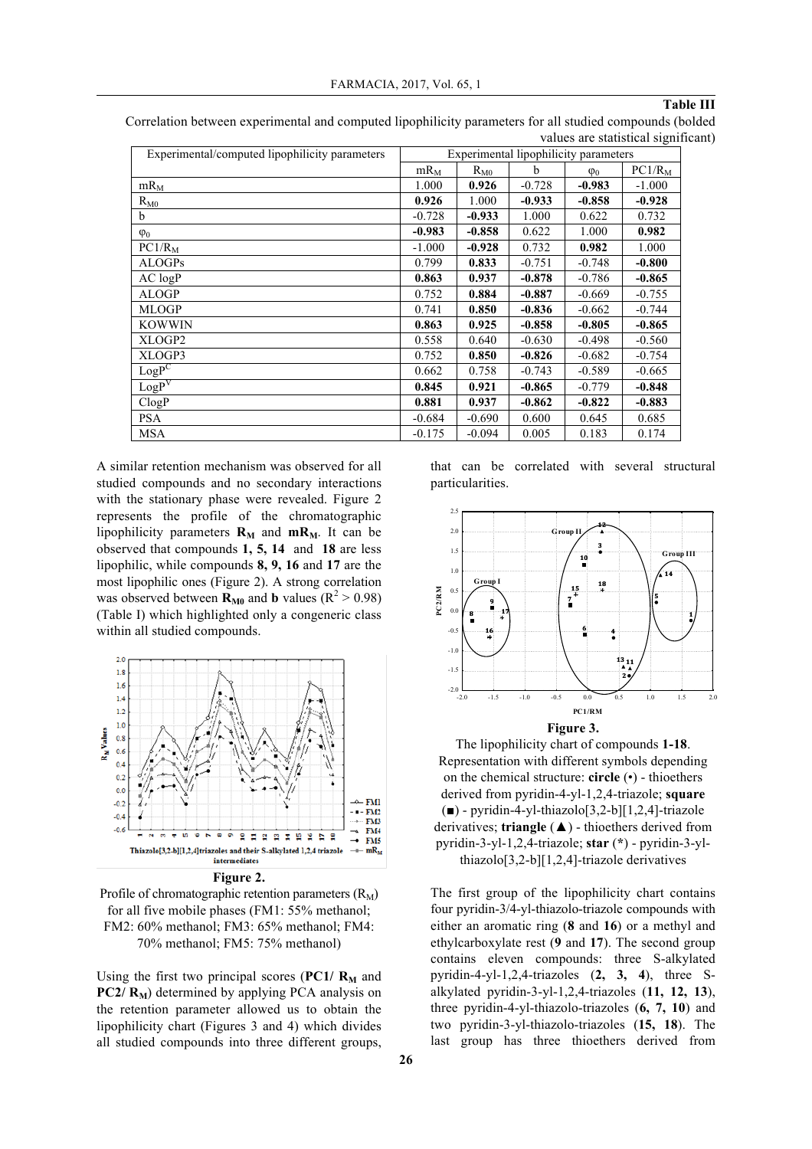## **Table III**

Correlation between experimental and computed lipophilicity parameters for all studied compounds (bolded values are statistical significant)

| Experimental/computed lipophilicity parameters | Experimental lipophilicity parameters |          |          |             |                    |  |
|------------------------------------------------|---------------------------------------|----------|----------|-------------|--------------------|--|
|                                                | $mR_M$                                | $R_{M0}$ | b        | $\varphi_0$ | PC1/R <sub>M</sub> |  |
| $mR_M$                                         | 1.000                                 | 0.926    | $-0.728$ | $-0.983$    | $-1.000$           |  |
| $R_{M0}$                                       | 0.926                                 | 1.000    | $-0.933$ | $-0.858$    | $-0.928$           |  |
| <sub>b</sub>                                   | $-0.728$                              | $-0.933$ | 1.000    | 0.622       | 0.732              |  |
| $\varphi_0$                                    | $-0.983$                              | $-0.858$ | 0.622    | 1.000       | 0.982              |  |
| $PC1/R_M$                                      | $-1.000$                              | $-0.928$ | 0.732    | 0.982       | 1.000              |  |
| <b>ALOGPs</b>                                  | 0.799                                 | 0.833    | $-0.751$ | $-0.748$    | $-0.800$           |  |
| $AC$ $logP$                                    | 0.863                                 | 0.937    | $-0.878$ | $-0.786$    | $-0.865$           |  |
| <b>ALOGP</b>                                   | 0.752                                 | 0.884    | $-0.887$ | $-0.669$    | $-0.755$           |  |
| <b>MLOGP</b>                                   | 0.741                                 | 0.850    | $-0.836$ | $-0.662$    | $-0.744$           |  |
| <b>KOWWIN</b>                                  | 0.863                                 | 0.925    | $-0.858$ | $-0.805$    | $-0.865$           |  |
| XLOGP2                                         | 0.558                                 | 0.640    | $-0.630$ | $-0.498$    | $-0.560$           |  |
| XLOGP3                                         | 0.752                                 | 0.850    | $-0.826$ | $-0.682$    | $-0.754$           |  |
| $LogP^C$                                       | 0.662                                 | 0.758    | $-0.743$ | $-0.589$    | $-0.665$           |  |
| LogP <sup>V</sup>                              | 0.845                                 | 0.921    | $-0.865$ | $-0.779$    | $-0.848$           |  |
| ClogP                                          | 0.881                                 | 0.937    | $-0.862$ | $-0.822$    | $-0.883$           |  |
| <b>PSA</b>                                     | $-0.684$                              | $-0.690$ | 0.600    | 0.645       | 0.685              |  |
| <b>MSA</b>                                     | $-0.175$                              | $-0.094$ | 0.005    | 0.183       | 0.174              |  |

A similar retention mechanism was observed for all studied compounds and no secondary interactions with the stationary phase were revealed. Figure 2 represents the profile of the chromatographic lipophilicity parameters  $\mathbf{R}_{\text{M}}$  and  $\mathbf{mR}_{\text{M}}$ . It can be observed that compounds **1, 5, 14** and **18** are less lipophilic, while compounds **8, 9, 16** and **17** are the most lipophilic ones (Figure 2). A strong correlation was observed between  $\mathbf{R}_{\text{M0}}$  and **b** values ( $\mathbf{R}^2 > 0.98$ ) (Table I) which highlighted only a congeneric class within all studied compounds.



**Figure 2.**

Profile of chromatographic retention parameters  $(R_M)$ for all five mobile phases (FM1: 55% methanol; FM2: 60% methanol; FM3: 65% methanol; FM4: 70% methanol; FM5: 75% methanol)

Using the first two principal scores ( $PC1/R_M$  and  $PC2/R_M$ ) determined by applying PCA analysis on the retention parameter allowed us to obtain the lipophilicity chart (Figures 3 and 4) which divides all studied compounds into three different groups,

that can be correlated with several structural particularities.



**Figure 3.**

The lipophilicity chart of compounds **1-18**. Representation with different symbols depending on the chemical structure: **circle** (•) - thioethers derived from pyridin-4-yl-1,2,4-triazole; **square**  $(\blacksquare)$  - pyridin-4-yl-thiazolo[3,2-b][1,2,4]-triazole derivatives; **triangle** (▲) - thioethers derived from pyridin-3-yl-1,2,4-triazole; **star** (**\***) - pyridin-3-ylthiazolo[3,2-b][1,2,4]-triazole derivatives

The first group of the lipophilicity chart contains four pyridin-3/4-yl-thiazolo-triazole compounds with either an aromatic ring (**8** and **16**) or a methyl and ethylcarboxylate rest (**9** and **17**). The second group contains eleven compounds: three S-alkylated pyridin-4-yl-1,2,4-triazoles (**2, 3, 4**), three Salkylated pyridin-3-yl-1,2,4-triazoles (**11, 12, 13**), three pyridin-4-yl-thiazolo-triazoles (**6, 7, 10**) and two pyridin-3-yl-thiazolo-triazoles (**15, 18**). The last group has three thioethers derived from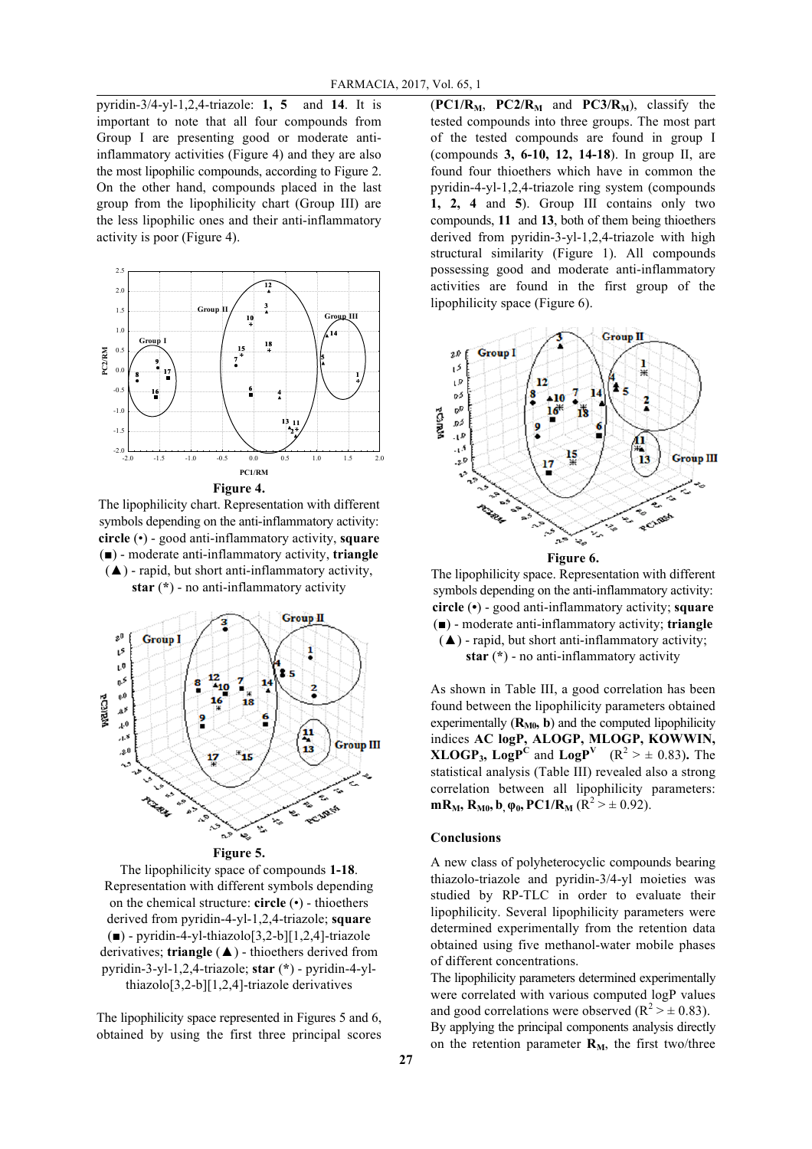pyridin-3/4-yl-1,2,4-triazole: **1, 5** and **14**. It is important to note that all four compounds from Group I are presenting good or moderate antiinflammatory activities (Figure 4) and they are also the most lipophilic compounds, according to Figure 2. On the other hand, compounds placed in the last group from the lipophilicity chart (Group III) are the less lipophilic ones and their anti-inflammatory activity is poor (Figure 4).



The lipophilicity chart. Representation with different symbols depending on the anti-inflammatory activity: **circle** (•) - good anti-inflammatory activity, **square** (■) - moderate anti-inflammatory activity, **triangle**  $(A)$  - rapid, but short anti-inflammatory activity,

**star** (**\***) - no anti-inflammatory activity



The lipophilicity space of compounds **1-18**. Representation with different symbols depending on the chemical structure: **circle** (•) - thioethers derived from pyridin-4-yl-1,2,4-triazole; **square**  $\Box$ ) - pyridin-4-yl-thiazolo[3,2-b][1,2,4]-triazole derivatives; **triangle** (▲) - thioethers derived from pyridin-3-yl-1,2,4-triazole; **star** (**\***) - pyridin-4-ylthiazolo[3,2-b][1,2,4]-triazole derivatives

The lipophilicity space represented in Figures 5 and 6, obtained by using the first three principal scores

 $(PC1/R<sub>M</sub>, PC2/R<sub>M</sub>$  and  $PC3/R<sub>M</sub>$ ), classify the tested compounds into three groups. The most part of the tested compounds are found in group I (compounds **3, 6-10, 12, 14-18**). In group II, are found four thioethers which have in common the pyridin-4-yl-1,2,4-triazole ring system (compounds **1, 2, 4** and **5**). Group III contains only two compounds, **11** and **13**, both of them being thioethers derived from pyridin-3-yl-1,2,4-triazole with high structural similarity (Figure 1). All compounds possessing good and moderate anti-inflammatory activities are found in the first group of the lipophilicity space (Figure 6).



**Figure 6.**

The lipophilicity space. Representation with different symbols depending on the anti-inflammatory activity: **circle** (**•**) - good anti-inflammatory activity; **square**  (■) - moderate anti-inflammatory activity; **triangle** (▲) - rapid, but short anti-inflammatory activity;

**star** (**\***) - no anti-inflammatory activity

As shown in Table III, a good correlation has been found between the lipophilicity parameters obtained experimentally  $(R_{M0}, b)$  and the computed lipophilicity indices **AC logP, ALOGP, MLOGP, KOWWIN, XLOGP<sub>3</sub>, LogP<sup>C</sup>** and **LogP**<sup>V</sup> ( $R^2 > \pm 0.83$ ). The statistical analysis (Table III) revealed also a strong correlation between all lipophilicity parameters: **mR<sub>M</sub>**, **R<sub>M0</sub>**, **b**<sub>,</sub> $\varphi_0$ , **PC1**/**R**<sub>M</sub> ( $R^2 > \pm 0.92$ ).

#### **Conclusions**

A new class of polyheterocyclic compounds bearing thiazolo-triazole and pyridin-3/4-yl moieties was studied by RP-TLC in order to evaluate their lipophilicity. Several lipophilicity parameters were determined experimentally from the retention data obtained using five methanol-water mobile phases of different concentrations.

The lipophilicity parameters determined experimentally were correlated with various computed logP values and good correlations were observed  $(R^2 > \pm 0.83)$ . By applying the principal components analysis directly

on the retention parameter  $\mathbf{R}_M$ , the first two/three